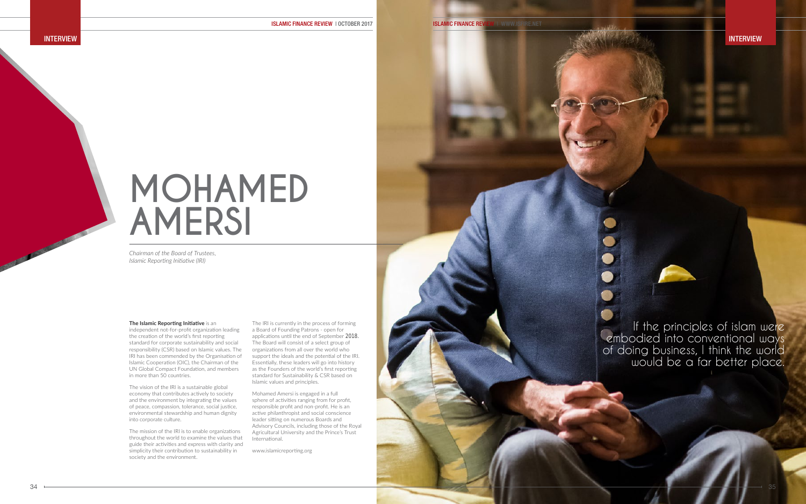# **MOHAMED AMERSI**

If the principles of islam were embodied into conventional ways of doing business, I think the world would be a far better place.

*Chairman of the Board of Trustees, Islamic Reporting Initiative (IRI)*

#### **The Islamic Reporting Initiative** is an

independent not-for-profit organization leading the creation of the world's first reporting standard for corporate sustainability and social responsibility (CSR) based on Islamic values. The IRI has been commended by the Organisation of Islamic Cooperation (OIC), the Chairman of the UN Global Compact Foundation, and members in more than 50 countries.

The vision of the IRI is a sustainable global economy that contributes actively to society and the environment by integrating the values of peace, compassion, tolerance, social justice, environmental stewardship and human dignity into corporate culture.

The mission of the IRI is to enable organizations throughout the world to examine the values that guide their activities and express with clarity and simplicity their contribution to sustainability in society and the environment.

The IRI is currently in the process of forming a Board of Founding Patrons - open for applications until the end of September 2018. The Board will consist of a select group of organizations from all over the world who support the ideals and the potential of the IRI. Essentially, these leaders will go into history as the Founders of the world's first reporting standard for Sustainability & CSR based on Islamic values and principles.

Mohamed Amersi is engaged in a full sphere of activities ranging from for profit, responsible profit and non-profit. He is an active philanthropist and social conscience leader sitting on numerous Boards and Advisory Councils, including those of the Royal Agricultural University and the Prince's Trust International.

www.islamicreporting.org



INTERVIEW **INTERVIEW** INTERVIEW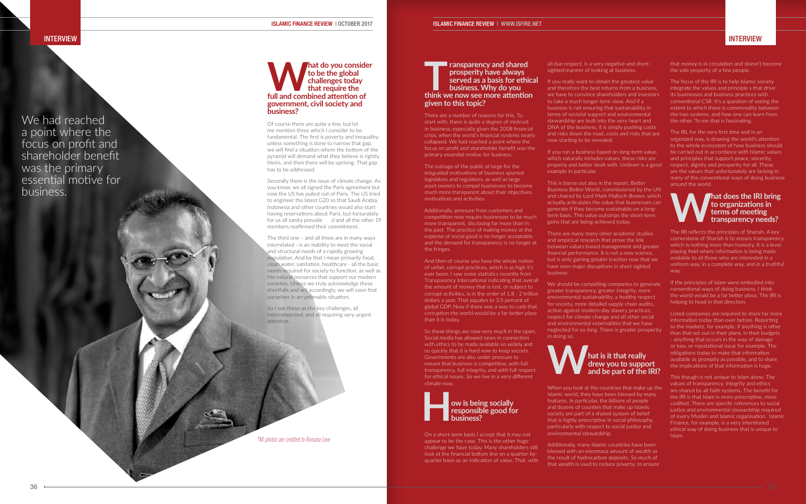#### INTERVIEW **Interview in the contract of the contract of the contract of the contract of the contract of the contract of the contract of the contract of the contract of the contract of the contract of the contract of the co**

#### **Mat do you consider**<br>
to be the global<br>
challenges today<br>
that require the<br>
full and combined attention of **to be the global challenges today that require the government, civil society and business?**

Of course there are quite a few, but let me mention three which I consider to be fundamental. The first is poverty and inequality; unless something is done to narrow that gap, we will find a situation where the bottom of the pyramid will demand what they believe is rightly theirs, and then there will be uprising. That gap has to be addressed.

Secondly there is the issue of climate change. As you know, we all signed the Paris agreement but now the US has pulled out of Paris. The US tried to engineer the latest G20 so that Saudi Arabia, Indonesia and other countries would also start having reservations about Paris, but fortunately for us all sanity prevaile d and all the other 19 members reaffirmed their commitment.

The third one – and all three are in many ways interrelated - is an inability to meet the social and structural needs of a rapidly growing population. And by that I mean primarily food, clean water, sanitation, healthcare - all the basic needs required for society to function, as well as the natural resources that support our modern societies. Unless we truly acknowledge these shortfalls and act accordingly, we will soon find ourselves in an untenable situation.

So I see these as the key challenges, all interconnected, and all requiring very urgent attention.

The outrage of the public at large for the misguided motivations of business spurred legislators and regulators, as well as large asset owners to compel businesses to become much more transparent about their objectives, motivations and activities.

**TARK EXECUTE 1** ransparency and shared prosperity have always served as a basis for ethical<br>business. Why do you<br>think we now see more attention **prosperity have always served as a basis for ethical business. Why do you**  sighted manner of looking at business. If you really want to obtain the greatest value and therefore the best returns from a business, we have to convince shareholders and investors to take a much longer-term view. And if a business is not ensuring that sustainability in terms of societal support and environmental stewardship are built into the very heart and DNA of the business, it is simply pushing costs and risks down the road, costs and risks that are now starting to be revealed.

Additionally, pressure from customers and competition now require businesses to be much more transparent, disclosing far more than in the past. The practice of making money at the expense of social good is no longer acceptable and the demand for transparency is no longer at the fringes.

> We should be compelling companies to generate greater transparency, greater integrity, more environmental sustainability, a healthy respect for society, more detailed supply chain audits, action against modern-day slavery practices, respect for climate change and all other social and environmental externalities that we have neglected for so long. There is greater prosperity in doing so.

And then of course you have the whole notion of unfair, corrupt practices, which is as high it's ever been. I saw some statistics recently from Transparency International indicating that overall the amount of money that is lost, or subject to corrupt activities, is in the order of 1.8 - 2 trillion dollars a year. That equates to 3.5 percent of global GDP. Now if there was a way to curb that corruption the world would be a far better place than it is today.

**given to this topic?** There are a number of reasons for this. To start with, there is quite a degree of mistrust in business, especially given the 2008 financial crisis, when the world's financial systems nearly collapsed. We had reached a point where the focus on profit and shareholder benefit was the primary essential motive for business. If you run a business based on long-term value,

So these things are now very much in the open. Social media has allowed news in connection with ethics to be made available so widely and so quickly that it is hard now to keep secrets. Governments are also under pressure to ensure that business is competitive, with full transparency, full integrity, and with full respect for ethical issues. So we live in a very different climate now.



On a short-term basis I accept that it may not appear to be the case. This is the other huge challenge we have today. Many shareholders still look at the financial bottom line on a quarter-byquarter basis as an indication of value. That, with

 $36$   $\rightarrow$   $37$ 

all due respect, is a very negative and short-

which naturally includes values, these risks are properly and better dealt with. Unilever is a good example in particular.

This is borne out also in the report, Better Business Better World, commissioned by the UN and chaired by Lord Mark Malloch-Brown, which actually articulates the value that businesses can generate if they become sustainable on a longterm basis. This value outstrips the short-term gains that are being achieved today.

There are many many other academic studies and empirical research that prove the link between values-based management and greater financial performance. It is not a new science, but is only gaining greater traction now that we have seen major disruptions in short sighted business.



When you look at the countries that make up the Islamic world, they have been blessed by many features. In particular, the billions of people and dozens of counties that make up Islamic society are part of a shared system of belief that is highly prescriptive in social philosophy, particularly with respect to social justice and environmental stewardship.

Additionally, many Islamic countries have been blessed with an enormous amount of wealth as the result of hydrocarbon deposits. So much of that wealth is used to reduce poverty, to ensure that money is in circulation and doesn't become the sole property of a few people.

The focus of the IRI is to help Islamic society integrate the values and principle s that drive its businesses and business practices with conventional CSR. It's a question of seeing the extent to which there is commonality between the two systems, and how one can learn from the other. To me that is fascinating.

The IRI, for the very first time and in an organized way, is drawing the world's attention to the whole ecosystem of how business should be carried out in accordance with Islamic values and principles that support peace, sincerity, respect, dignity and prosperity for all. These are the values that unfortunately are lacking in many of the conventional ways of doing business around the world.

#### **What does the IRI bring to organizations in terms of meeting transparency needs?**

The IRI reflects the principles of Shariah. A key cornerstone of Shariah is to ensure transparency, which is nothing more than honesty. It is a level playing field where information is being made available to all those who are interested in a uniform way, in a complete way, and in a truthful way.

If the principles of Islam were embodied into conventional ways of doing business, I think the world would be a far better place. The IRI is helping to head in that direction.

Listed companies are required to share far more information today than ever before. Reporting to the markets, for example, if anything is other than that set out in their plans, in their budgets - anything that occurs in the way of damage or loss, or reputational issue for example. The obligations today to make that information available as promptly as possible, and to share the implications of that information is huge.

This though is not unique to Islam alone. The values of transparency, integrity and ethics are shared by all faith systems. The benefit for the IRI is that Islam is more prescriptive, more codified. There are specific references to social justice and environmental stewardship required of every Muslim and Islamic organisation. Islamic Finance, for example, is a very intentioned ethical way of doing business that is unique to Islam.

We had reached a point where the focus on profit and shareholder benefit was the primary essential motive for business.

*\*All photos are credited to Romana Love*